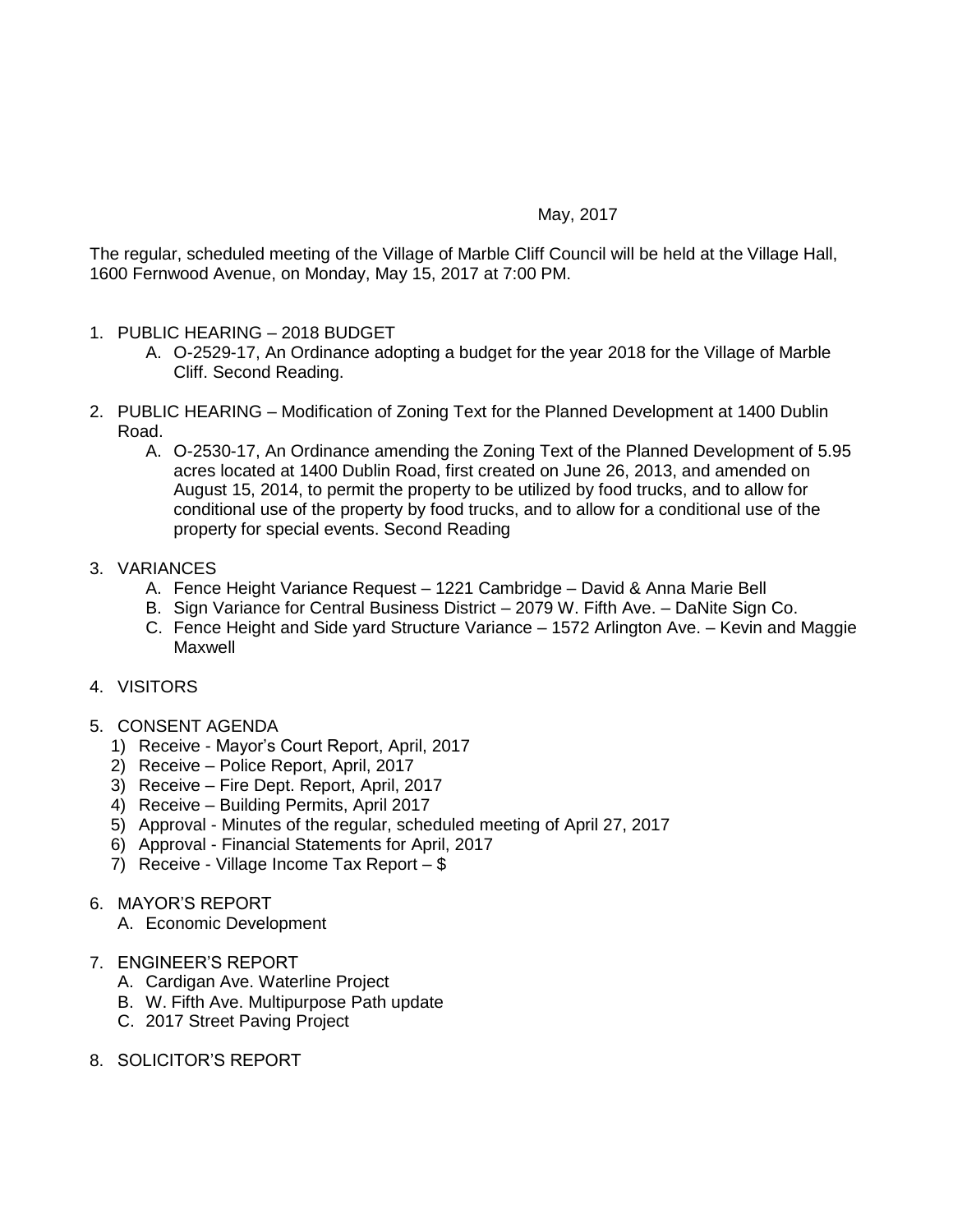## May, 2017

The regular, scheduled meeting of the Village of Marble Cliff Council will be held at the Village Hall, 1600 Fernwood Avenue, on Monday, May 15, 2017 at 7:00 PM.

- 1. PUBLIC HEARING 2018 BUDGET
	- A. O-2529-17, An Ordinance adopting a budget for the year 2018 for the Village of Marble Cliff. Second Reading.
- 2. PUBLIC HEARING Modification of Zoning Text for the Planned Development at 1400 Dublin Road.
	- A. O-2530-17, An Ordinance amending the Zoning Text of the Planned Development of 5.95 acres located at 1400 Dublin Road, first created on June 26, 2013, and amended on August 15, 2014, to permit the property to be utilized by food trucks, and to allow for conditional use of the property by food trucks, and to allow for a conditional use of the property for special events. Second Reading
- 3. VARIANCES
	- A. Fence Height Variance Request 1221 Cambridge David & Anna Marie Bell
	- B. Sign Variance for Central Business District 2079 W. Fifth Ave. DaNite Sign Co.
	- C. Fence Height and Side yard Structure Variance 1572 Arlington Ave. Kevin and Maggie Maxwell
- 4. VISITORS
- 5. CONSENT AGENDA
	- 1) Receive Mayor's Court Report, April, 2017
	- 2) Receive Police Report, April, 2017
	- 3) Receive Fire Dept. Report, April, 2017
	- 4) Receive Building Permits, April 2017
	- 5) Approval Minutes of the regular, scheduled meeting of April 27, 2017
	- 6) Approval Financial Statements for April, 2017
	- 7) Receive Village Income Tax Report \$
- 6. MAYOR'S REPORT
	- A. Economic Development
- 7. ENGINEER'S REPORT
	- A. Cardigan Ave. Waterline Project
	- B. W. Fifth Ave. Multipurpose Path update
	- C. 2017 Street Paving Project
- 8. SOLICITOR'S REPORT